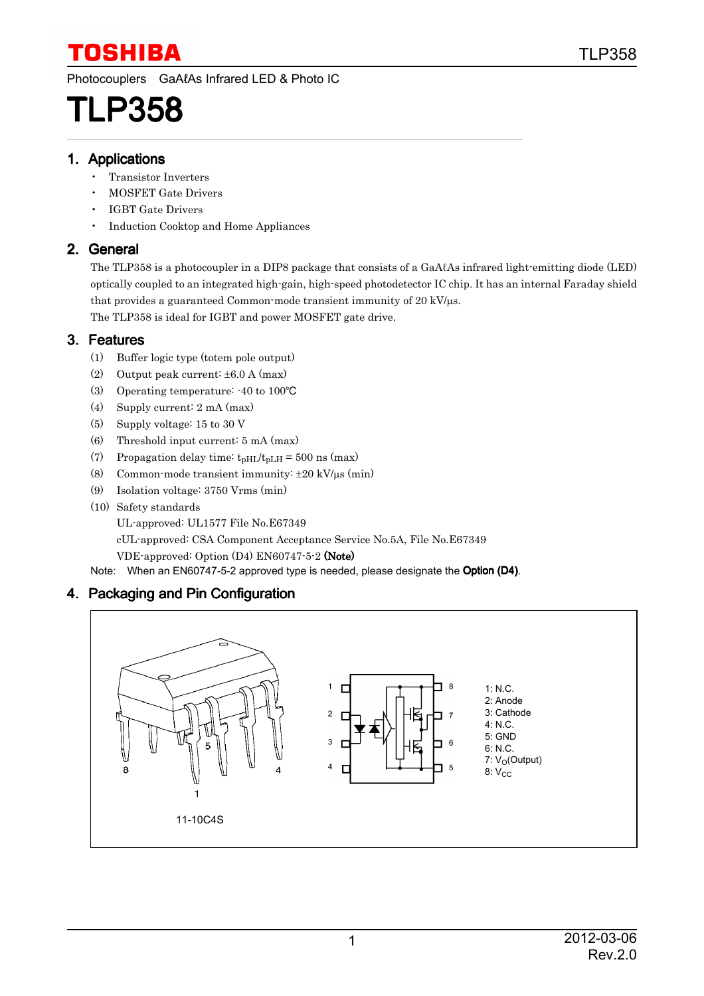Photocouplers GaAℓAs Infrared LED & Photo IC

# TLP358

#### 1. Applications

- Transistor Inverters
- MOSFET Gate Drivers
- IGBT Gate Drivers
- Induction Cooktop and Home Appliances

#### 2. General

The TLP358 is a photocoupler in a DIP8 package that consists of a GaAℓAs infrared light-emitting diode (LED) optically coupled to an integrated high-gain, high-speed photodetector IC chip. It has an internal Faraday shield that provides a guaranteed Common-mode transient immunity of  $20 \text{ kV/µs.}$ 

The TLP358 is ideal for IGBT and power MOSFET gate drive.

### 3. Features

- (1) Buffer logic type (totem pole output)
- (2) Output peak current: ±6.0 A (max)
- (3) Operating temperature: -40 to 100°C
- (4) Supply current: 2 mA (max)
- (5) Supply voltage: 15 to 30 V
- (6) Threshold input current: 5 mA (max)
- (7) Propagation delay time:  $t_{pH1}/t_{pLH} = 500$  ns (max)
- (8) Common-mode transient immunity:  $\pm 20 \text{ kV/}\mu\text{s}$  (min)
- (9) Isolation voltage: 3750 Vrms (min)
- (10) Safety standards

UL-approved: UL1577 File No.E67349

cUL-approved: CSA Component Acceptance Service No.5A, File No.E67349

VDE-approved: Option (D4) EN60747-5-2 (Note)

Note: When an EN60747-5-2 approved type is needed, please designate the Option (D4).

### 4. Packaging and Pin Configuration

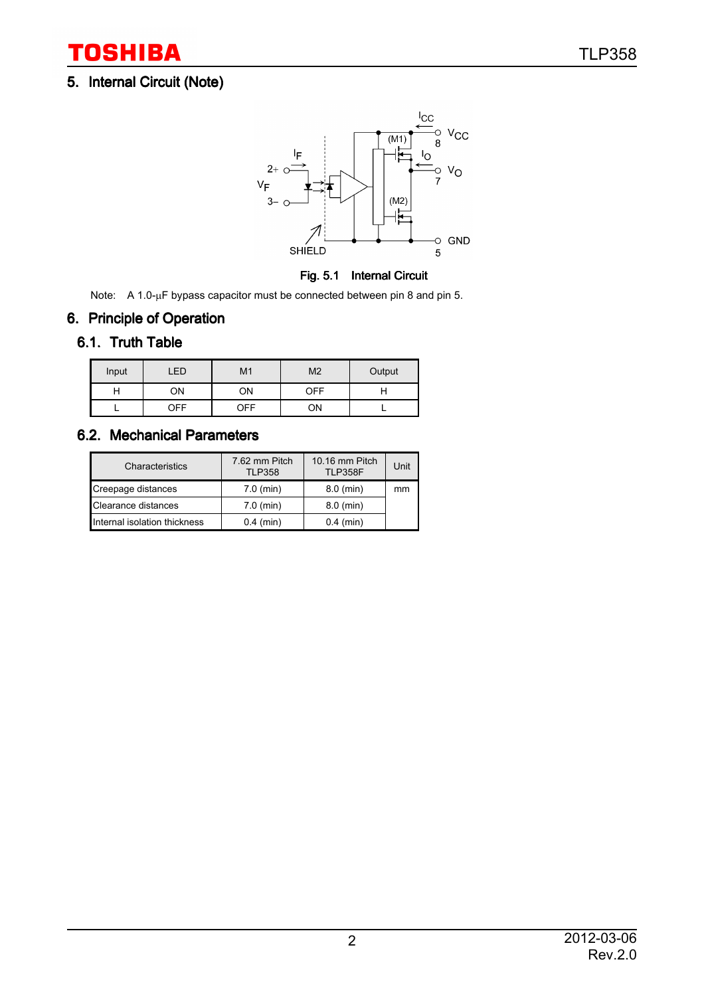### 5. Internal Circuit (Note)



Fig. 5.1 Internal Circuit

Note: A 1.0-µF bypass capacitor must be connected between pin 8 and pin 5.

## 6. Principle of Operation

### 6.1. Truth Table

| Input | ED         | M <sub>1</sub> | M <sub>2</sub> | Output |
|-------|------------|----------------|----------------|--------|
|       | ОN         | ОN             | OFF            |        |
|       | <b>DEE</b> | <b>DEE</b>     | ∩N             |        |

### 6.2. Mechanical Parameters

| Characteristics              | 7.62 mm Pitch<br><b>TLP358</b> | 10.16 mm Pitch<br><b>TLP358F</b> | Unit |
|------------------------------|--------------------------------|----------------------------------|------|
| Creepage distances           | $7.0$ (min)                    | $8.0$ (min)                      | mm   |
| Clearance distances          | $7.0$ (min)                    | $8.0$ (min)                      |      |
| Internal isolation thickness | $0.4$ (min)                    | $0.4$ (min)                      |      |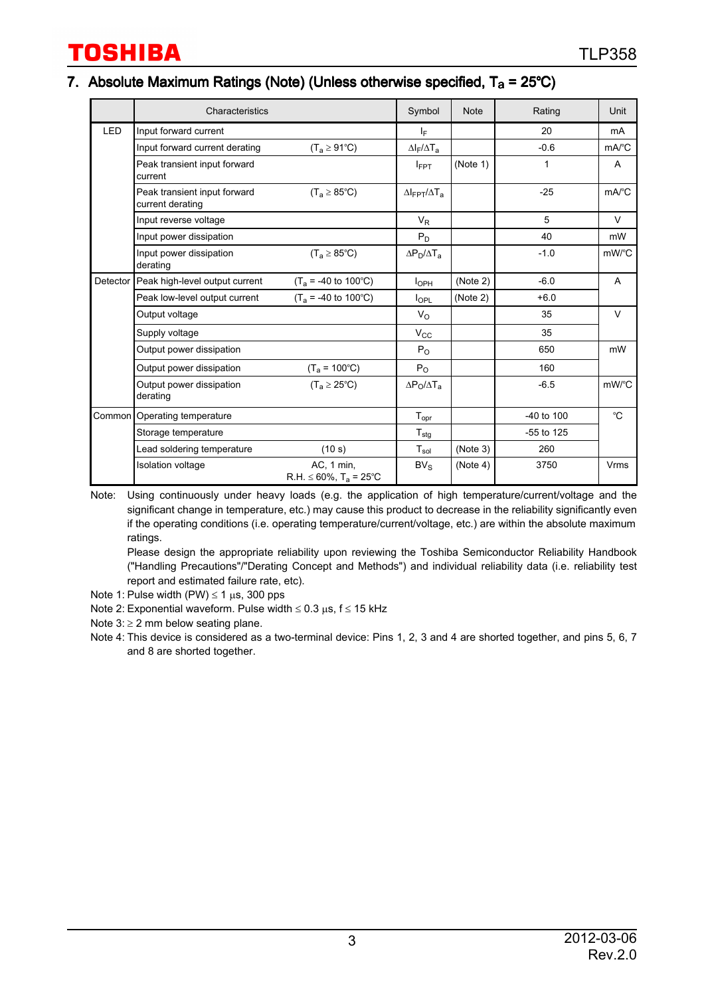#### 7. Absolute Maximum Ratings (Note) (Unless otherwise specified,  $T_a = 25^{\circ}C$ )

|            | Characteristics                                                              |                                                       | Symbol                                 | <b>Note</b> | Rating       | Unit                |
|------------|------------------------------------------------------------------------------|-------------------------------------------------------|----------------------------------------|-------------|--------------|---------------------|
| <b>LED</b> | Input forward current                                                        |                                                       | IF.                                    |             | 20           | mA                  |
|            | Input forward current derating                                               | $(T_a \ge 91^{\circ}C)$                               | $\Delta I_F/\Delta T_a$                |             | $-0.6$       | $mA$ <sup>°</sup> C |
|            | Peak transient input forward<br>current                                      |                                                       | $I_{\text{FPT}}$                       | (Note 1)    | 1            | A                   |
|            | Peak transient input forward<br>$(T_a \geq 85^{\circ}C)$<br>current derating |                                                       | $\Delta$ IFPT $/\Delta$ T <sub>a</sub> |             | $-25$        | $mA$ <sup>°</sup> C |
|            | Input reverse voltage                                                        |                                                       | $V_{R}$                                |             | 5            | V                   |
|            | Input power dissipation                                                      |                                                       | $P_D$                                  |             | 40           | mW                  |
|            | Input power dissipation<br>derating                                          | $(T_a \geq 85^{\circ}C)$                              | $\Delta P_D/\Delta T_a$                |             | $-1.0$       | mW/°C               |
| Detector   | Peak high-level output current                                               | $(T_a = -40$ to 100°C)                                | I <sub>OPH</sub>                       | (Note 2)    | $-6.0$       | A                   |
|            | Peak low-level output current                                                | $(T_a = -40 \text{ to } 100^{\circ} \text{C})$        | $I_{\text{OPL}}$                       | (Note 2)    | $+6.0$       |                     |
|            | Output voltage                                                               |                                                       | $V_{\rm O}$                            |             | 35           | $\vee$              |
|            | Supply voltage                                                               |                                                       | $V_{\rm CC}$                           |             | 35           |                     |
|            | Output power dissipation                                                     |                                                       | $P_{O}$                                |             | 650          | mW                  |
|            | Output power dissipation                                                     | $(T_a = 100^{\circ}C)$                                | $P_{\Omega}$                           |             | 160          |                     |
|            | Output power dissipation<br>derating                                         | $(T_a \geq 25^{\circ}C)$                              | $\Delta P_{\rm O}/\Delta T_{\rm a}$    |             | $-6.5$       | mW/°C               |
|            | Common Operating temperature                                                 |                                                       | $T_{\text{opr}}$                       |             | -40 to 100   | $^{\circ}$ C        |
|            | Storage temperature                                                          |                                                       | ${\sf T}_{\sf stg}$                    |             | $-55$ to 125 |                     |
|            | Lead soldering temperature                                                   | (10 s)                                                | $T_{sol}$                              | (Note 3)    | 260          |                     |
|            | <b>Isolation voltage</b>                                                     | AC, 1 min,<br>$R.H. \leq 60\%$ , $T_a = 25^{\circ}$ C | BV <sub>S</sub>                        | (Note 4)    | 3750         | Vrms                |

Note: Using continuously under heavy loads (e.g. the application of high temperature/current/voltage and the significant change in temperature, etc.) may cause this product to decrease in the reliability significantly even if the operating conditions (i.e. operating temperature/current/voltage, etc.) are within the absolute maximum ratings.

Please design the appropriate reliability upon reviewing the Toshiba Semiconductor Reliability Handbook ("Handling Precautions"/"Derating Concept and Methods") and individual reliability data (i.e. reliability test report and estimated failure rate, etc).

Note 1: Pulse width (PW)  $\leq$  1  $\mu$ s, 300 pps

- Note 2: Exponential waveform. Pulse width  $\leq 0.3$  µs, f  $\leq 15$  kHz
- Note  $3: \geq 2$  mm below seating plane.
- Note 4: This device is considered as a two-terminal device: Pins 1, 2, 3 and 4 are shorted together, and pins 5, 6, 7 and 8 are shorted together.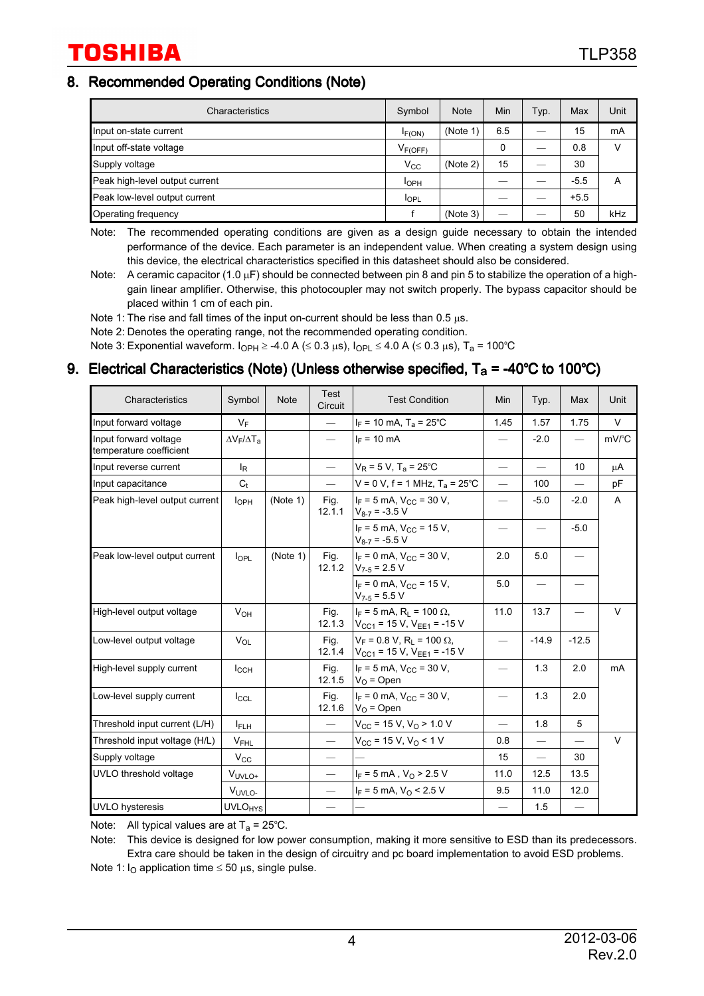#### 8. Recommended Operating Conditions (Note)

| Characteristics                | Symbol           | <b>Note</b> | Min | Typ. | Max    | Unit |
|--------------------------------|------------------|-------------|-----|------|--------|------|
| Input on-state current         | $I_{F(ON)}$      | (Note 1)    | 6.5 |      | 15     | mA   |
| Input off-state voltage        | $V_{F(OFF)}$     |             | 0   | __   | 0.8    | V    |
| Supply voltage                 | $V_{\rm CC}$     | (Note 2)    | 15  |      | 30     |      |
| Peak high-level output current | I <sub>OPH</sub> |             |     |      | $-5.5$ | Α    |
| Peak low-level output current  | <b>I</b> OPL     |             |     |      | $+5.5$ |      |
| Operating frequency            |                  | (Note 3)    |     |      | 50     | kHz  |

Note: The recommended operating conditions are given as a design guide necessary to obtain the intended performance of the device. Each parameter is an independent value. When creating a system design using this device, the electrical characteristics specified in this datasheet should also be considered.

Note: A ceramic capacitor (1.0  $\mu$ F) should be connected between pin 8 and pin 5 to stabilize the operation of a highgain linear amplifier. Otherwise, this photocoupler may not switch properly. The bypass capacitor should be placed within 1 cm of each pin.

Note 1: The rise and fall times of the input on-current should be less than  $0.5 \mu s$ .

Note 2: Denotes the operating range, not the recommended operating condition.

Note 3: Exponential waveform.  $I_{OPH} \ge -4.0$  A ( $\le 0.3$  µs),  $I_{OPL} \le 4.0$  A ( $\le 0.3$  µs),  $T_a = 100^{\circ}$ C

#### 9. Electrical Characteristics (Note) (Unless otherwise specified,  $T_a = -40^{\circ}C$  to 100°C)

| Characteristics                                  | Symbol                    | <b>Note</b> | Test<br>Circuit               | <b>Test Condition</b>                                                                        | Min                      | Typ.                     | Max             | Unit   |
|--------------------------------------------------|---------------------------|-------------|-------------------------------|----------------------------------------------------------------------------------------------|--------------------------|--------------------------|-----------------|--------|
| Input forward voltage                            | $V_F$                     |             |                               | $I_F$ = 10 mA, T <sub>a</sub> = 25°C                                                         | 1.45                     | 1.57                     | 1.75            | V      |
| Input forward voltage<br>temperature coefficient | $\Delta V_F/\Delta T_A$   |             |                               | $I_F = 10 \text{ mA}$                                                                        |                          | $-2.0$                   |                 | mV/°C  |
| Input reverse current                            | $I_R$                     |             | $\qquad \qquad$               | $V_R$ = 5 V, T <sub>a</sub> = 25°C                                                           | $\qquad \qquad$          | $\qquad \qquad$          | 10 <sup>1</sup> | μA     |
| Input capacitance                                | $C_t$                     |             |                               | $V = 0 V$ , f = 1 MHz, T <sub>a</sub> = 25°C                                                 | $\equiv$                 | 100                      |                 | pF     |
| Peak high-level output current                   | I <sub>OPH</sub>          | (Note 1)    | Fig.<br>12.1.1                | $I_F = 5$ mA, $V_{CC} = 30$ V,<br>$V_{8-7}$ = -3.5 V                                         | $\overline{\phantom{0}}$ | $-5.0$                   | $-2.0$          | A      |
|                                                  |                           |             |                               | $I_F$ = 5 mA, $V_{CC}$ = 15 V,<br>$V_{8-7}$ = -5.5 V                                         | $\overline{\phantom{0}}$ | $\overline{\phantom{0}}$ | $-5.0$          |        |
| Peak low-level output current                    | $I_{\text{OPL}}$          | (Note 1)    | Fig.                          | $I_F = 0$ mA, $V_{CC} = 30$ V,<br>12.1.2 $ V_{7-5} = 2.5 V$                                  | 2.0                      | 5.0                      |                 |        |
|                                                  |                           |             |                               | $I_F = 0$ mA, $V_{CC} = 15$ V,<br>$V_{7-5}$ = 5.5 V                                          | 5.0                      | $\qquad \qquad$          |                 |        |
| High-level output voltage                        | $V_{OH}$                  |             | Fig.<br>12.1.3                | $I_F = 5$ mA, R <sub>1</sub> = 100 $\Omega$ ,<br>$V_{CG1}$ = 15 V, V <sub>EE1</sub> = -15 V  | 11.0                     | 13.7                     |                 | $\vee$ |
| Low-level output voltage                         | $V_{\Omega}$              |             | Fig.                          | $V_F = 0.8 V$ , R <sub>1</sub> = 100 $\Omega$ ,<br>12.1.4 $ V_{CG1} = 15 V, V_{EE1} = -15 V$ |                          | $-14.9$                  | $-12.5$         |        |
| High-level supply current                        | $I_{\rm CCH}$             |             | Fig.<br>12.1.5                | $I_F = 5$ mA, $V_{CC} = 30$ V,<br>$ V_{\Omega}$ = Open                                       | $\overline{\phantom{0}}$ | 1.3                      | 2.0             | mA     |
| Low-level supply current                         | $I_{CCL}$                 |             | Fig.<br>12.1.6                | $I_F = 0$ mA, $V_{CC} = 30$ V,<br>$ V_{\Omega}$ = Open                                       | $\qquad \qquad$          | 1.3                      | 2.0             |        |
| Threshold input current (L/H)                    | $I_{\mathsf{FLH}}$        |             | $\qquad \qquad -$             | $V_{CC}$ = 15 V, $V_{O}$ > 1.0 V                                                             | $\qquad \qquad$          | 1.8                      | 5               |        |
| Threshold input voltage (H/L)                    | $V_{FHL}$                 |             |                               | $V_{CC}$ = 15 V, V <sub>O</sub> < 1 V                                                        | 0.8                      |                          |                 | $\vee$ |
| Supply voltage                                   | $V_{\rm CC}$              |             | $\overbrace{\phantom{aaaaa}}$ |                                                                                              | 15                       | $\overline{\phantom{0}}$ | 30              |        |
| UVLO threshold voltage                           | V <sub>UVLO+</sub>        |             | $\overline{\phantom{0}}$      | $I_F = 5 \text{ mA}$ , $V_O > 2.5 \text{ V}$                                                 | 11.0                     | 12.5                     | 13.5            |        |
|                                                  | V <sub>UVLO-</sub>        |             |                               | $I_F = 5$ mA, $V_O < 2.5$ V                                                                  | 9.5                      | 11.0                     | 12.0            |        |
| <b>UVLO</b> hysteresis                           | <b>UVLO<sub>HYS</sub></b> |             |                               |                                                                                              |                          | 1.5                      |                 |        |

Note: All typical values are at  $T_a = 25^{\circ}$ C.

Note: This device is designed for low power consumption, making it more sensitive to ESD than its predecessors. Extra care should be taken in the design of circuitry and pc board implementation to avoid ESD problems.

Note 1:  $I<sub>O</sub>$  application time  $\leq 50 \mu s$ , single pulse.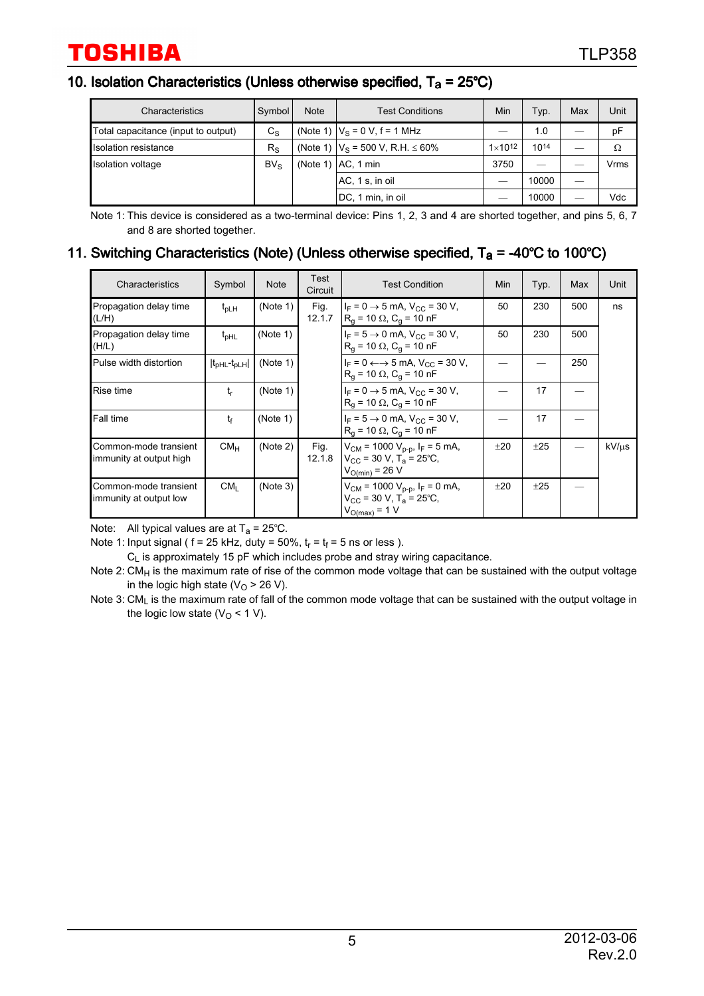#### 10. Isolation Characteristics (Unless otherwise specified,  $T_a = 25^{\circ}C$ )

| Characteristics                     | Symbol          | <b>Note</b> | <b>Test Conditions</b>                     |                    | Typ.  | Max | Unit |
|-------------------------------------|-----------------|-------------|--------------------------------------------|--------------------|-------|-----|------|
| Total capacitance (input to output) | $C_{\rm S}$     |             | (Note 1) $ V_s = 0 V$ , f = 1 MHz          |                    | 1.0   |     | рF   |
| Isolation resistance                | $R_{\rm S}$     |             | (Note 1) $ V_S = 500 V$ , R.H. $\leq 60\%$ | $1 \times 10^{12}$ | 1014  |     | Ω    |
| Isolation voltage                   | BV <sub>S</sub> |             | (Note 1) $AC$ , 1 min<br>3750              |                    |       |     | Vrms |
|                                     |                 |             | AC, 1 s, in oil                            |                    | 10000 |     |      |
|                                     |                 |             | DC, 1 min, in oil                          |                    | 10000 |     | Vdc  |

Note 1: This device is considered as a two-terminal device: Pins 1, 2, 3 and 4 are shorted together, and pins 5, 6, 7 and 8 are shorted together.

#### 11. Switching Characteristics (Note) (Unless otherwise specified,  $T_a = -40^{\circ}C$  to 100°C)

| Characteristics                                  | Symbol                  | <b>Note</b> | Test<br>Circuit | <b>Test Condition</b>                                                                                            | Min | Typ. | Max | Unit  |
|--------------------------------------------------|-------------------------|-------------|-----------------|------------------------------------------------------------------------------------------------------------------|-----|------|-----|-------|
| Propagation delay time<br>(L/H)                  | $t_{\text{DLH}}$        | (Note 1)    | Fig.<br>12.1.7  | $I_F = 0 \rightarrow 5$ mA, $V_{CC} = 30$ V,<br>$R_q$ = 10 $\Omega$ , C <sub>g</sub> = 10 nF                     | 50  | 230  | 500 | ns    |
| Propagation delay time<br>(H/L)                  | $t_{pHL}$               | (Note 1)    |                 | $I_F = 5 \rightarrow 0$ mA, $V_{CC} = 30$ V,<br>$R_q$ = 10 $\Omega$ , $C_q$ = 10 nF                              | 50  | 230  | 500 |       |
| Pulse width distortion                           | $ t_{pHL}$ - $t_{pLH} $ | (Note 1)    |                 | $I_F = 0 \leftarrow \rightarrow 5 \text{ mA}$ , $V_{CC} = 30 \text{ V}$ ,<br>$R_0$ = 10 $\Omega$ , $C_0$ = 10 nF |     |      | 250 |       |
| Rise time                                        | t,                      | (Note 1)    |                 | $I_F = 0 \rightarrow 5$ mA, $V_{CC} = 30$ V,<br>$R_q$ = 10 $\Omega$ , $C_q$ = 10 nF                              |     | 17   |     |       |
| Fall time                                        | $t_{\rm f}$             | (Note 1)    |                 | $I_F = 5 \rightarrow 0$ mA, $V_{CC} = 30$ V,<br>$R_q$ = 10 $\Omega$ , $C_q$ = 10 nF                              |     | 17   |     |       |
| Common-mode transient<br>immunity at output high | CM <sub>H</sub>         | (Note 2)    | Fig.<br>12.1.8  | $V_{CM}$ = 1000 $V_{p-p}$ , $I_F$ = 5 mA,<br>$V_{CC}$ = 30 V, T <sub>a</sub> = 25°C,<br>$V_{O(min)} = 26 V$      | ±20 | ±25  |     | kV/us |
| Common-mode transient<br>immunity at output low  | CM <sub>1</sub>         | (Note 3)    |                 | $V_{CM}$ = 1000 $V_{p-p}$ , $I_F$ = 0 mA,<br>$V_{\rm CC}$ = 30 V, T <sub>a</sub> = 25°C.<br>$V_{O(max)} = 1 V$   | ±20 | ±25  |     |       |

Note: All typical values are at  $T_a = 25^{\circ}$ C.

Note 1: Input signal (  $f = 25$  kHz, duty = 50%,  $t_r = t_f = 5$  ns or less ).

 $C_L$  is approximately 15 pF which includes probe and stray wiring capacitance.

Note 2:  $CM_H$  is the maximum rate of rise of the common mode voltage that can be sustained with the output voltage in the logic high state ( $V<sub>O</sub>$  > 26 V).

Note 3: CML is the maximum rate of fall of the common mode voltage that can be sustained with the output voltage in the logic low state ( $V<sub>O</sub>$  < 1 V).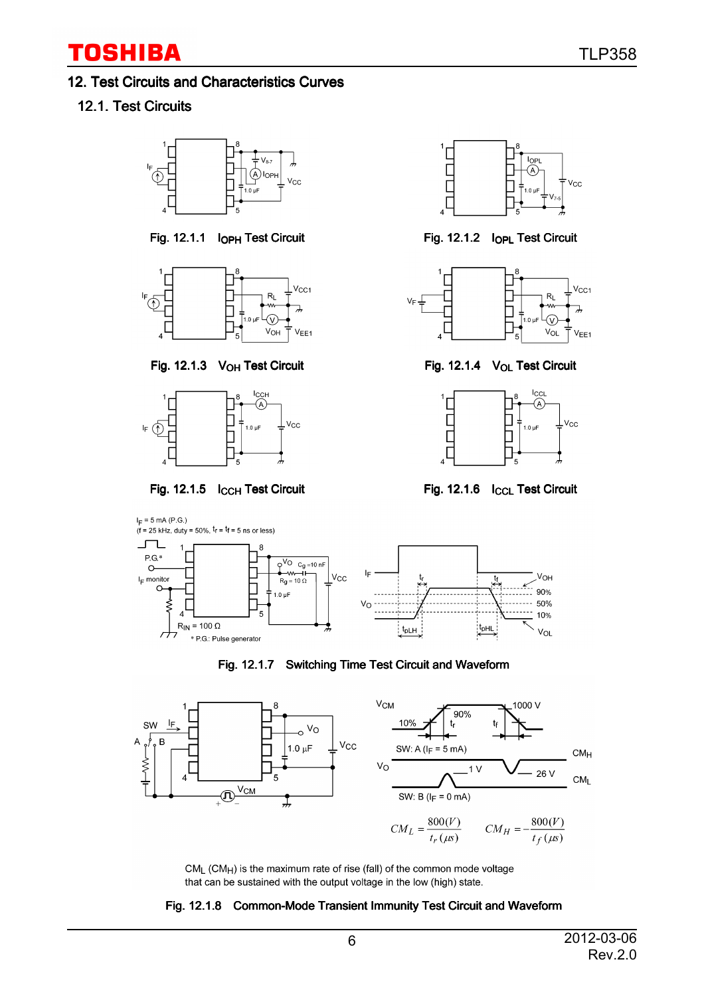#### 12. Test Circuits and Characteristics Curves

### 12.1. Test Circuits



Fig. 12.1.1 I<sub>OPH</sub> Test Circuit Fig. 12.1.2 I<sub>OPL</sub> Test Circuit



Fig. 12.1.3 V<sub>OH</sub> Test Circuit Fig. 12.1.4 V<sub>OL</sub> Test Circuit













Fig. 12.1.7 Switching Time Test Circuit and Waveform



CML (CMH) is the maximum rate of rise (fall) of the common mode voltage that can be sustained with the output voltage in the low (high) state.

#### Fig. 12.1.8 Common-Mode Transient Immunity Test Circuit and Waveform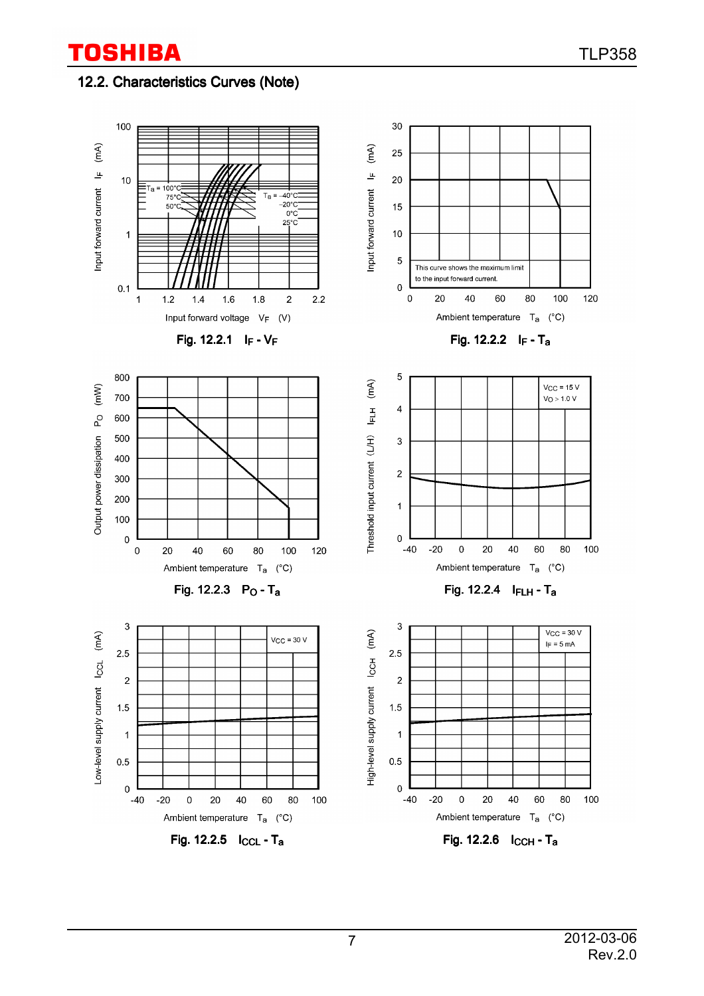### 12.2. Characteristics Curves (Note)

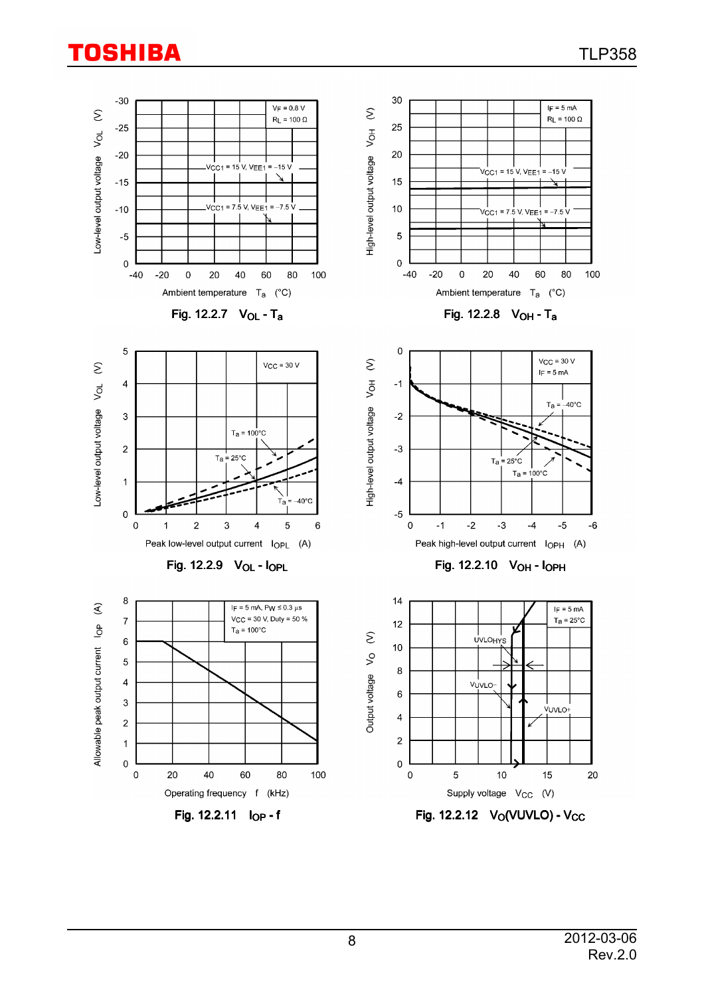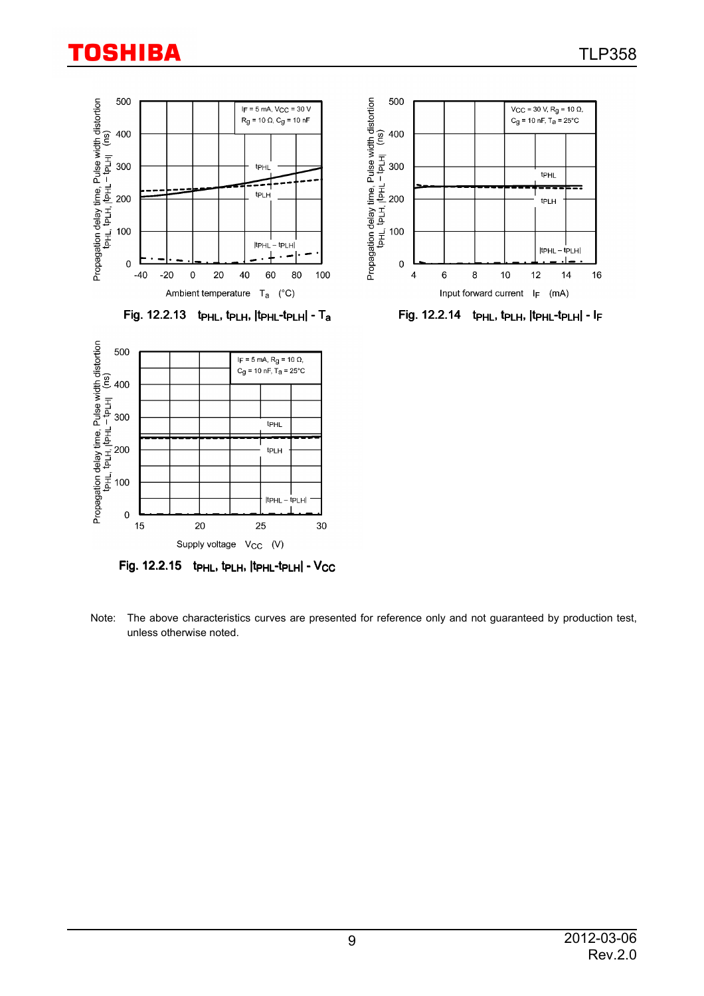



Fig. 12.2.13 tp $_{HL}$ , tp $_{LH}$ , ttp $_{HL}$ -tp $_{LH}$ | - Ta Fig. 12.2.14 tp $_{HL}$ , tp $_{LL}$ , tp $_{HL}$ -tp $_{LH}$ | - IF



 $Fig. 12.2.15$  tp $H$ , tp $H$ ,  $I$ tp $H$ <sub>-</sub>tp $L$ H $I$ - $V_{CC}$ 

Note: The above characteristics curves are presented for reference only and not guaranteed by production test, unless otherwise noted.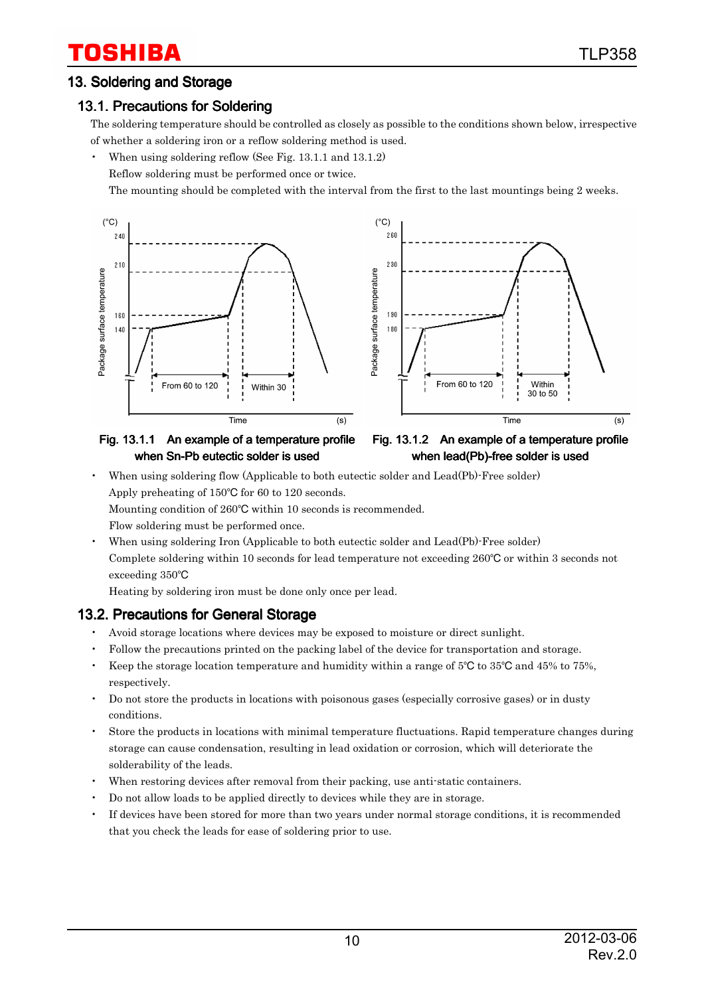#### 13. Soldering and Storage

#### 13.1. Precautions for Soldering

The soldering temperature should be controlled as closely as possible to the conditions shown below, irrespective of whether a soldering iron or a reflow soldering method is used.

• When using soldering reflow (See Fig. 13.1.1 and 13.1.2)

Reflow soldering must be performed once or twice.

The mounting should be completed with the interval from the first to the last mountings being 2 weeks.





#### Fig. 13.1.1 An example of a temperature profile when Sn-Pb eutectic solder is used



• When using soldering flow (Applicable to both eutectic solder and Lead(Pb)-Free solder) Apply preheating of  $150^{\circ}$ C for 60 to 120 seconds.

Mounting condition of 260°C within 10 seconds is recommended.

- Flow soldering must be performed once.
- When using soldering Iron (Applicable to both eutectic solder and Lead(Pb)-Free solder) Complete soldering within 10 seconds for lead temperature not exceeding  $260^{\circ}$ C or within 3 seconds not exceeding 350

Heating by soldering iron must be done only once per lead.

#### 13.2. Precautions for General Storage

- Avoid storage locations where devices may be exposed to moisture or direct sunlight.
- Follow the precautions printed on the packing label of the device for transportation and storage.
- Keep the storage location temperature and humidity within a range of  $5^{\circ}$ C to  $35^{\circ}$ C and  $45\%$  to  $75\%$ , respectively.
- Do not store the products in locations with poisonous gases (especially corrosive gases) or in dusty conditions.
- Store the products in locations with minimal temperature fluctuations. Rapid temperature changes during storage can cause condensation, resulting in lead oxidation or corrosion, which will deteriorate the solderability of the leads.
- When restoring devices after removal from their packing, use anti-static containers.
- Do not allow loads to be applied directly to devices while they are in storage.
- If devices have been stored for more than two years under normal storage conditions, it is recommended that you check the leads for ease of soldering prior to use.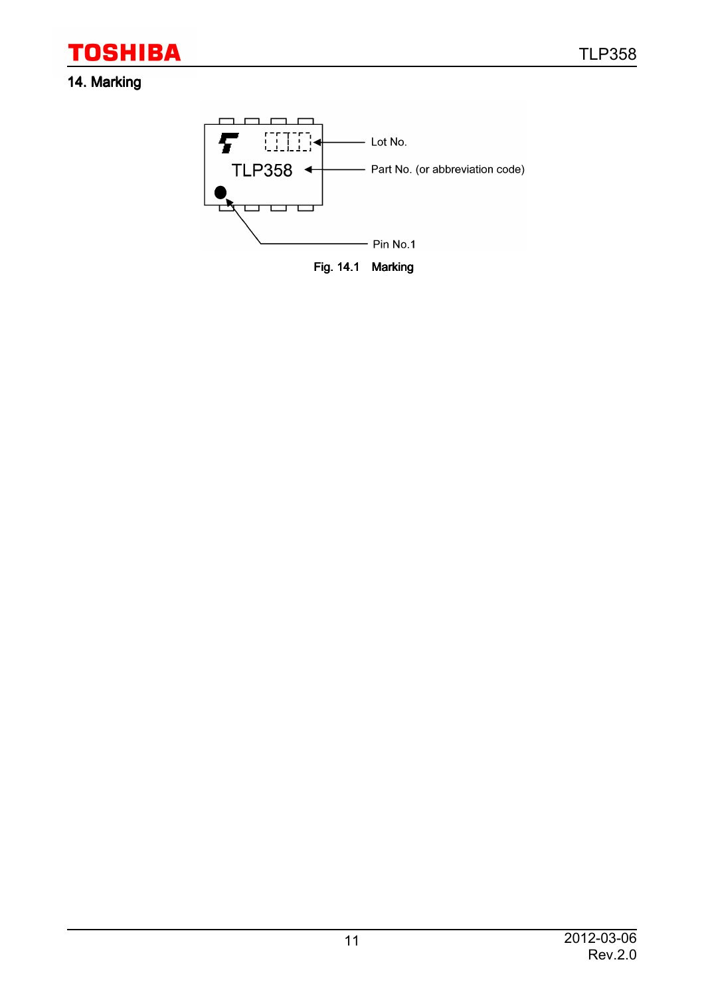### 14. Marking

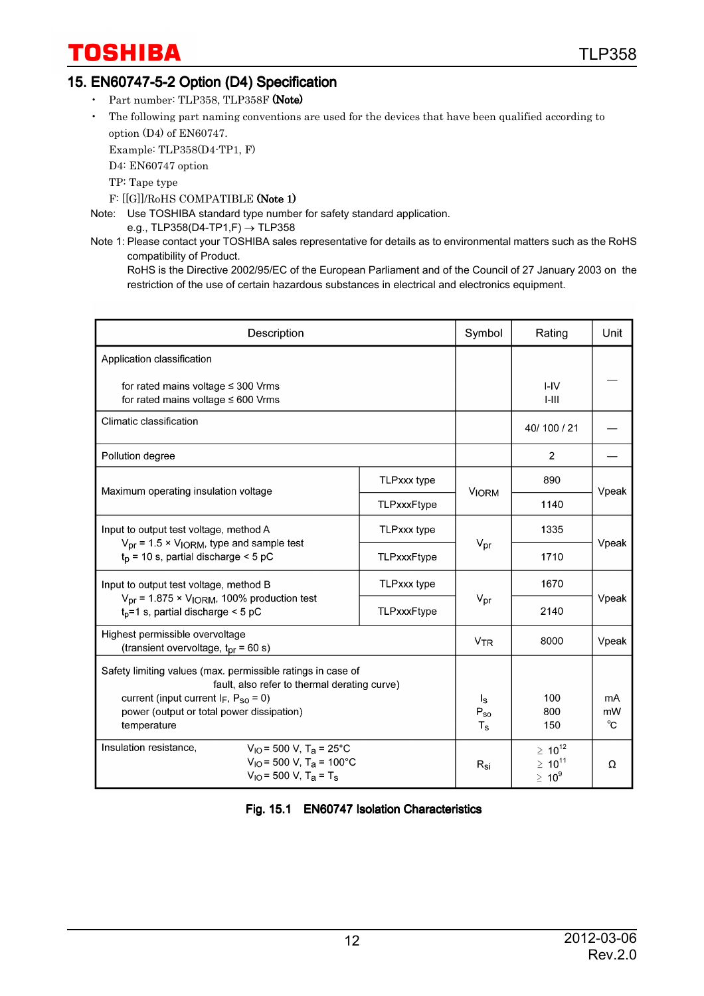### 15. EN60747-5-2 Option (D4) Specification

- Part number: TLP358, TLP358F (Note)
- The following part naming conventions are used for the devices that have been qualified according to option (D4) of EN60747.

Example: TLP358(D4-TP1, F)

D4: EN60747 option

TP: Tape type

F: [[G]]/RoHS COMPATIBLE (Note 1)

Note: Use TOSHIBA standard type number for safety standard application.

e.g., TLP358(D4-TP1,F)  $\rightarrow$  TLP358

Note 1: Please contact your TOSHIBA sales representative for details as to environmental matters such as the RoHS compatibility of Product.

RoHS is the Directive 2002/95/EC of the European Parliament and of the Council of 27 January 2003 on the restriction of the use of certain hazardous substances in electrical and electronics equipment.

| Description                                                                                                                                                                                                              | Symbol                                                         | Rating                                          | Unit           |       |
|--------------------------------------------------------------------------------------------------------------------------------------------------------------------------------------------------------------------------|----------------------------------------------------------------|-------------------------------------------------|----------------|-------|
| Application classification                                                                                                                                                                                               |                                                                |                                                 |                |       |
| for rated mains voltage $\leq$ 300 Vrms<br>for rated mains voltage $\leq 600$ Vrms                                                                                                                                       |                                                                | $I - IV$<br>$1-111$                             |                |       |
| Climatic classification                                                                                                                                                                                                  |                                                                |                                                 | 40/100/21      |       |
| Pollution degree                                                                                                                                                                                                         |                                                                |                                                 | $\overline{2}$ |       |
| Maximum operating insulation voltage                                                                                                                                                                                     |                                                                | 890                                             | Vpeak          |       |
|                                                                                                                                                                                                                          | TLPxxxFtype                                                    | <b>VIORM</b>                                    | 1140           |       |
| Input to output test voltage, method A                                                                                                                                                                                   |                                                                | 1335                                            |                |       |
| $V_{\text{pr}}$ = 1.5 × V <sub>IORM</sub> , type and sample test<br>$t_p$ = 10 s, partial discharge < 5 pC                                                                                                               | TLPxxxFtype                                                    | $V_{\text{pr}}$                                 | 1710           | Vpeak |
| Input to output test voltage, method B                                                                                                                                                                                   |                                                                | 1670                                            |                |       |
| $V_{\text{pr}}$ = 1.875 × $V_{\text{IORM}}$ , 100% production test<br>$t_p = 1$ s, partial discharge < 5 pC                                                                                                              | TLPxxxFtype                                                    | $V_{\text{pr}}$                                 | 2140           | Vpeak |
| Highest permissible overvoltage<br>(transient overvoltage, $t_{\text{pr}}$ = 60 s)                                                                                                                                       |                                                                | <b>V<sub>TR</sub></b>                           | 8000           | Vpeak |
| Safety limiting values (max. permissible ratings in case of<br>fault, also refer to thermal derating curve)<br>current (input current $I_F$ , $P_{SO} = 0$ )<br>power (output or total power dissipation)<br>temperature | $\mathsf{I}_\mathsf{S}$<br>$P_{SO}$<br>$\mathsf{T}_\mathbf{S}$ | 100<br>800<br>150                               | mA<br>mW<br>°C |       |
| Insulation resistance.<br>$V_{IO}$ = 500 V, T <sub>a</sub> = 25°C<br>$V_{IO}$ = 500 V, T <sub>a</sub> = 100°C<br>$V_{\text{IO}}$ = 500 V, T <sub>a</sub> = T <sub>s</sub>                                                | $R_{\rm Si}$                                                   | $\geq 10^{12}$<br>$\geq 10^{11}$<br>$\geq 10^9$ | Ω              |       |

Fig. 15.1 EN60747 Isolation Characteristics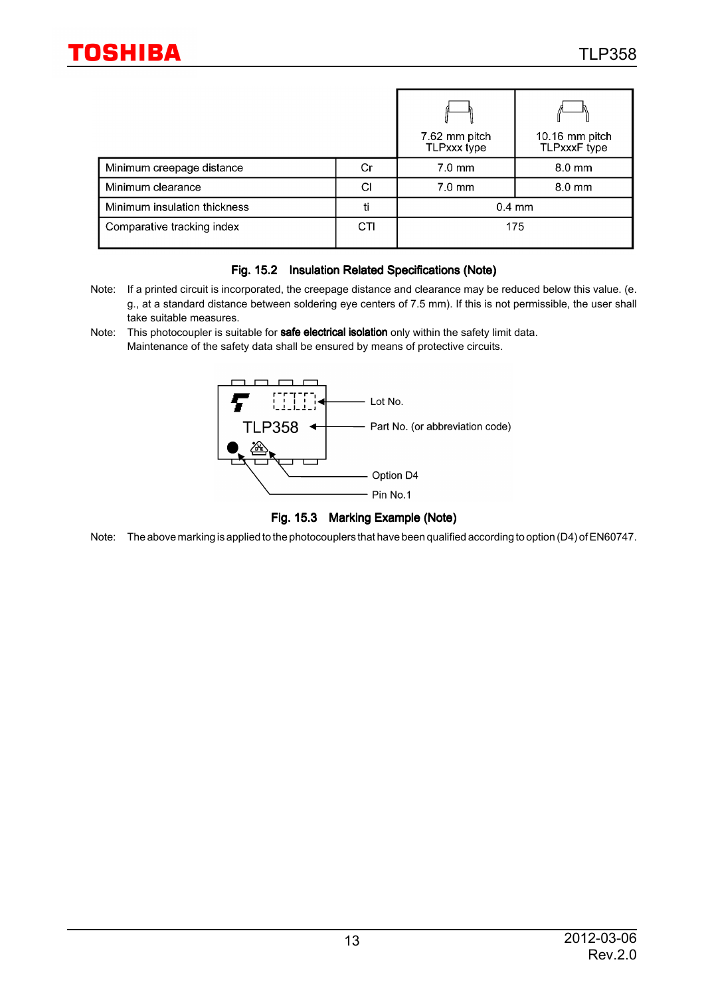|                              |     | 7.62 mm pitch<br>TLPxxx type | 10.16 mm pitch<br>TLPxxxF type |  |
|------------------------------|-----|------------------------------|--------------------------------|--|
| Minimum creepage distance    | Cr  | $7.0$ mm                     | $8.0 \text{ mm}$               |  |
| Minimum clearance            | СI  | $7.0 \text{ mm}$             | 8.0 mm                         |  |
| Minimum insulation thickness | ti  | $0.4 \text{ mm}$             |                                |  |
| Comparative tracking index   | CTI | 175                          |                                |  |

#### Fig. 15.2 Insulation Related Specifications (Note)

- Note: If a printed circuit is incorporated, the creepage distance and clearance may be reduced below this value. (e. g., at a standard distance between soldering eye centers of 7.5 mm). If this is not permissible, the user shall take suitable measures.
- Note: This photocoupler is suitable for **safe electrical isolation** only within the safety limit data. Maintenance of the safety data shall be ensured by means of protective circuits.



Fig. 15.3 Marking Example (Note)

Note: The above marking is applied to the photocouplers that have been qualified according to option (D4) of EN60747.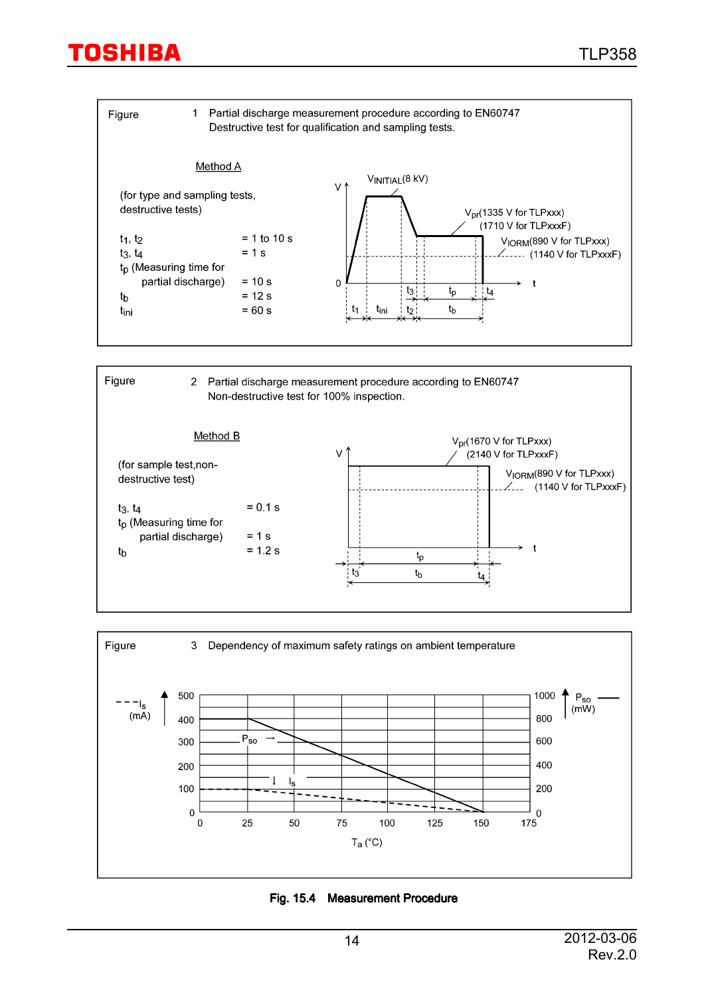





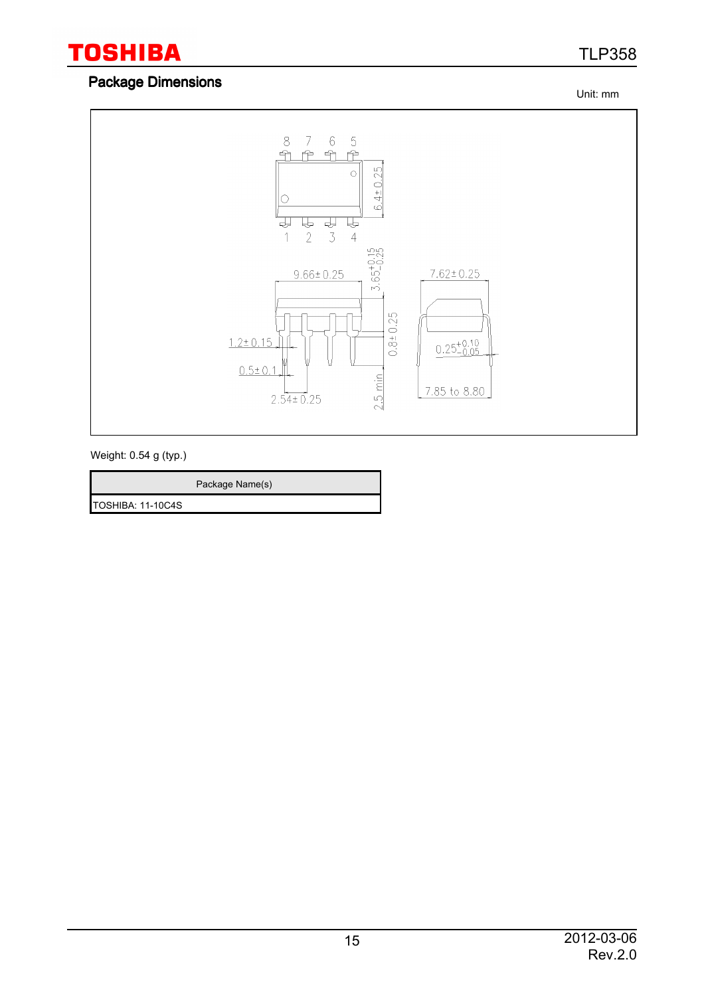## TLP358

### Package Dimensions

Unit: mm



Weight: 0.54 g (typ.)

Package Name(s)

TOSHIBA: 11-10C4S